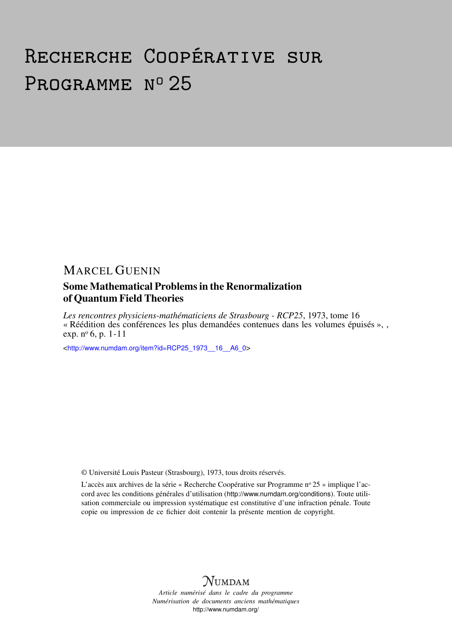# Recherche Coopérative sur PROGRAMME Nº 25

## MARCEL GUENIN

## Some Mathematical Problems in the Renormalization of Quantum Field Theories

*Les rencontres physiciens-mathématiciens de Strasbourg - RCP25*, 1973, tome 16 « Réédition des conférences les plus demandées contenues dans les volumes épuisés », , exp. nº 6, p. 1-11

<[http://www.numdam.org/item?id=RCP25\\_1973\\_\\_16\\_\\_A6\\_0](http://www.numdam.org/item?id=RCP25_1973__16__A6_0)>

© Université Louis Pasteur (Strasbourg), 1973, tous droits réservés.

L'accès aux archives de la série « Recherche Coopérative sur Programme nº 25 » implique l'accord avec les conditions générales d'utilisation (<http://www.numdam.org/conditions>). Toute utilisation commerciale ou impression systématique est constitutive d'une infraction pénale. Toute copie ou impression de ce fichier doit contenir la présente mention de copyright.



*Article numérisé dans le cadre du programme Numérisation de documents anciens mathématiques* <http://www.numdam.org/>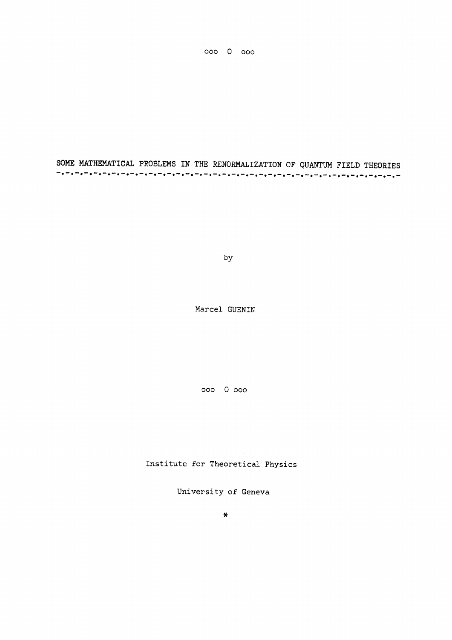000 0 000

SOME MATHEMATICAL PROBLEMS IN THE RENORMALIZATION OF QUANTUM FIELD THEORIES

by

Marcel GUENIN

000 0 000

Institute for Theoretical Physics

University of Geneva

 $\ast$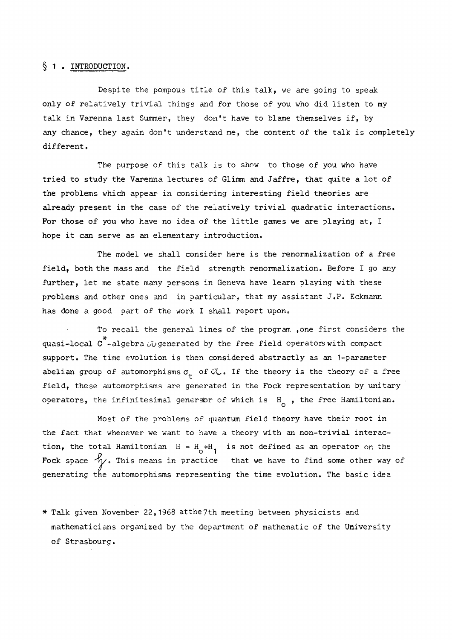#### § 1. INTRODUCTION.

Despite the pompous title of this talk, we are going to speak only of relatively trivial things and for those of you who did listen to my talk in Varenna last Summer, they don't have to blame themselves if, by any chance, they again don't understand me, the content of the talk is completely different.

The purpose of this talk is to show to those of you who have tried to study the Varenna lectures of Glimm and Jaffre, that quite a lot of the problems which appear in considering interesting field theories are already present in the case of the relatively trivial quadratic interactions. For those of you who have no idea of the little games we are playing at, I hope it can serve as an elementary introduction.

The model we shall consider here is the renormalization of a free field, both the mass and the field strength renormalization. Before I go any further, let me state many persons in Geneva have learn playing with these problems and other ones and in particular, that my assistant J.P. Eckmann has done a good part of the work I shall report upon.

To recall the general lines of the program ,one first considers the quasi-local C -algebra *-Ju* generated by the free field operators with compact support. The time evolution is then considered abstractly as an 1-parameter abelian group of automorphisms  $\sigma_{+}$  of  $\mathcal{J}_{+}$ . If the theory is the theory of a free field, these automorphisms are generated in the Fock representation by unitary operators, the infinitesimal generator of which is  $H_{\alpha}$ , the free Hamiltonian.

Most of the problems of quantum field theory have their root in the fact that whenever we want to have a theory with an non-trivial interaction, the total Hamiltonian  $H = H_{\sim} + H_{\rm g}$  is not defined as an operator on th Fock space  $\forall y$ . This means in practice that we have to find some other way of generating the automorphisms representing the time evolution. The basic idea

\* Talk given November 22,1968 atthe7th meeting between physicists and mathematicians organized by the department of mathematic of the University of Strasbourg.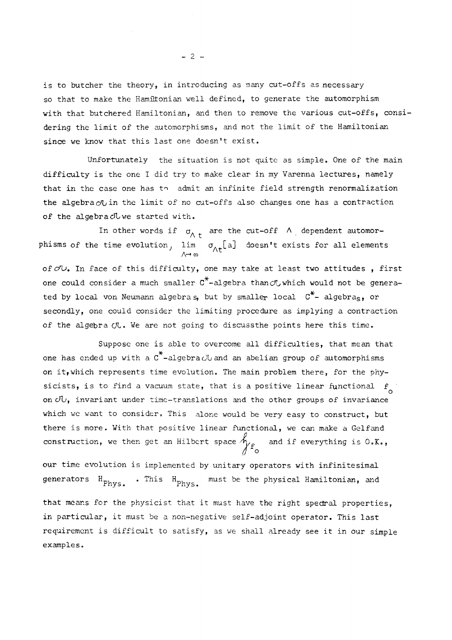is to butcher the theory, in introducing as many cut-offs as necessary so that to make the Hamiltonian well defined, to generate the automorphism with that butchered Hamiltonian, and then to remove the various cut-offs, considering the limit of the automorphisms, and not the limit of the Hamiltonian since we know that this last one doesn't exist.

Unfortunately the situation is not quite as simple. One of the main difficulty is the one I did try to make clear in my Varenna lectures, namely that in the case one has to admit an infinite field strength renormalization the algebra*c/L* in the limit of no cut-offs also changes one has a contraction of the algebra cluve started with.

In other words if  $\sigma_{\Lambda t}$  are the cut-off  $\Lambda$  dependent automorphisms of the time evolution,  $\lim_{\Lambda \to \infty} \sigma_{\Lambda t}$ [a] doesn't exists for all elements of  $c/v$ . In face of this difficulty, one may take at least two attitudes, first one could consider a much smaller  $C^*$ -algebra than  $C^L$  which would not be generated by local von Neumann algebras, but by smaller local  $C^*$ - algebras, or secondly, one could consider the limiting procedure as implying a contraction of the algebra  $\sigma$ . We are not going to discussthe points here this time.

Suppose one is able to overcome all difficulties, that mean that one has ended up with a  $C^*$ -algebra  $C\cup$  and an abelian group of automorphisms on it,which represents time evolution. The main problem there, for the physicists, is to find a vacuum state, that is a positive linear functional  $f_{\alpha}$ o which we want to consider. This alone would be very easy to construct, but there is more. With that positive linear functional, we can make a Gelfand construction we then get an Hilbert space  $\Lambda$  and if overwithing is  $\Omega$  K  $\beta$  to the get an Hilbert space  $\beta$  and if every thing is  $\beta$ . And if every thing is  $\beta$ . And if every thing is  $\beta$ .

our time evolution is implemented by unitary operators with infinitesimal our time time time the must be the physical Hamiltonian and

generators H Fhy <sup>s</sup> • This H <sup>m</sup>^st be the physical Hamiltonian, and

that means for the physicist that it must have the right spectral properties, in particular, it must be a non-negative self-adjoint operator. This last requirement is difficult to satisfy, as we shall already see it in our simple examples.

 $- 2 -$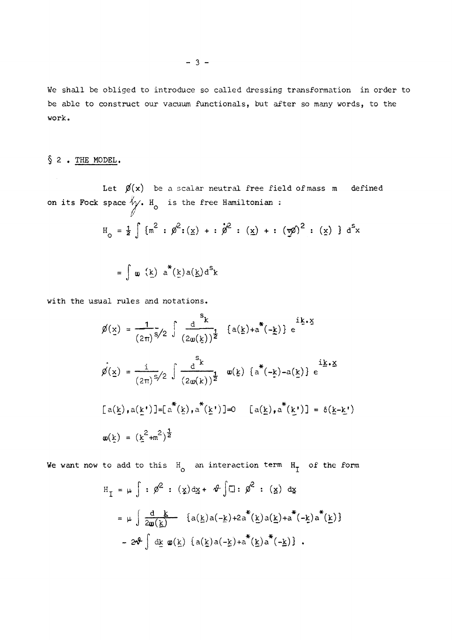We shall be obliged to introduce so called dressing transformation in order to be able to construct our vacuum functionals, but after so many words, to the work.

### § 2 • THE MODEL.

Let  $\cancel{p}(x)$  be a scalar neutral free field of mass m defined V  $\bigwedge$  is the free Hamiltonian  $\bigwedge$ 

$$
H_o = \frac{1}{2} \int {\{m^2 : \phi^2 : (x) + : \phi^2 : (x) + : (x \phi)^2 : (x) \}} d^s x
$$

$$
= \int \omega(\underline{k}) a^*(\underline{k}) a(\underline{k}) d^S \underline{k}
$$

with the usual rules and notations.

$$
\emptyset(\underline{x}) = \frac{1}{(2\pi)^{5}} \int \frac{d^{5}k}{(2\omega(\underline{k}))^{2}} \{a(\underline{k}) + a^{*}(-\underline{k})\} e^{\underline{i}\underline{k}\cdot\underline{x}}
$$
\n
$$
\hat{\emptyset}(\underline{x}) = \frac{i}{(2\pi)^{5}} \int \frac{d^{5}k}{(2\omega(\underline{k}))^{2}} \omega(\underline{k}) \{a^{*}(-\underline{k}) - a(\underline{k})\} e^{\underline{i}\underline{k}\cdot\underline{x}}
$$
\n
$$
[a(\underline{k}), a(\underline{k}^{*})] = [a^{*}(\underline{k}), a^{*}(\underline{k}^{*})] = 0 \{a(\underline{k}), a^{*}(\underline{k}^{*})\} = \delta(\underline{k}-\underline{k}^{*})
$$
\n
$$
\omega(\underline{k}) = (\underline{k}^{2} + m^{2})^{\frac{1}{2}}
$$

We want now to add to this  $H_0$  an interaction term  $H_1$  of the form

$$
H_{I} = \mu \int : \beta^{2} : (\underline{x}) \, d\underline{x} + \vartheta \int \Box : \beta^{2} : (\underline{x}) \, d\underline{x}
$$
  
\n
$$
= \mu \int \frac{d}{2\omega(\underline{k})} \{a(\underline{k})a(-\underline{k})+2a^{*}(\underline{k})a(\underline{k})+a^{*}(-\underline{k})a^{*}(\underline{k})\}
$$
  
\n
$$
= 2\vartheta \int d\underline{k} \omega(\underline{k}) \{a(\underline{k})a(-\underline{k})+a^{*}(\underline{k})a^{*}(-\underline{k})\} .
$$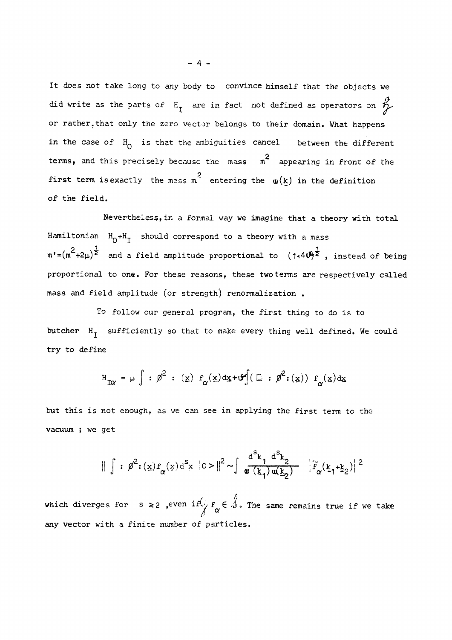It does not take long to any body to convince himself that the objects we did write as the parts of  $H$ <sub>I</sub> are in fact not defined as operators on  $R$ or rather,that only the zero vector belongs to their domain. What happens in the case of  $H_0$  is that the ambiguities cancel between the different terms, and this precisely because the mass m<sup>2</sup> appearing in front of the first term is exactly the mass m<sup>2</sup> entering the  $\omega(\underline{k})$  in the definition first term is exactly the mass mass m. entering the use  $\mathcal{L}(\mathbf{r})$  in the definition of the definition of  $\mathbf{r}$ 

of the field. Hamiltonian  $H_0 + H_T$  should correspond to a theory with a mass  $m' = (m^2 + 2\mu)^{\frac{1}{2}}$  and a field amplitude proportional to  $(1+4\sqrt{m})^{\frac{1}{2}}$ , instead of being proportional to one. For these reasons, these two terms are respectively called

To follow our general program, the first thing to do is to butcher  $H_T$  sufficiently so that to make every thing well defined. We could but cher Hj sufficiently so that to make every thing well defined. We could define the top well defined. We co

$$
H_{I\alpha} = \mu \int : \beta^2 : (x) f_{\alpha}(x) dx + \vartheta \int (E : \beta^2 : (x)) f_{\alpha}(x) dx
$$

but this is not enough, as we can see in applying the first term to the vacuum ; we get

$$
\|\int : \rho^{2} : (\underline{x}) f_{\alpha}(\underline{x}) d^{S} x \ |0\rangle\|^{2} \sim \int \frac{d^{S} k_{1} d^{S} k_{2}}{\omega(k_{1}) \omega(k_{2})} \quad |\widetilde{f}_{\alpha}(k_{1} + k_{2})|^{2}
$$

which diverges for  $s \geq 2$  , even if  $\left(\begin{array}{c}f^{\prime}\\f^{\prime}\end{array}\right)$   $f^{\prime\prime}$  are same remains true if we take any vector with a finite number of particles.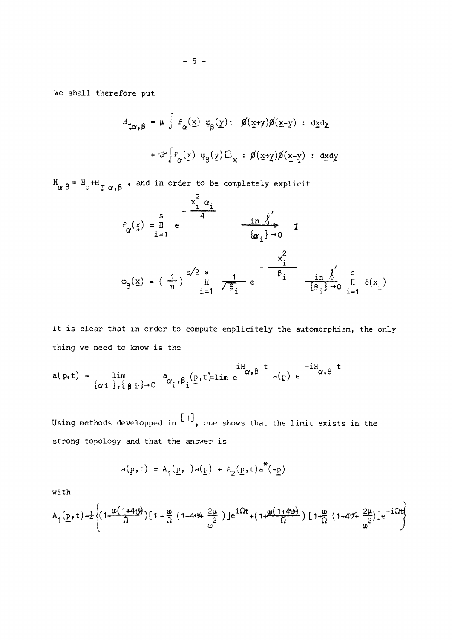We shall therefore put

$$
H_{\mathbf{1}\alpha,\beta} = \mu \int f_{\alpha}(\underline{x}) \varphi_{\beta}(\underline{y}) : \quad \cancel{\beta}(\underline{x}+\underline{y})\cancel{\beta}(\underline{x}-\underline{y}) : d\underline{x}d\underline{y}
$$
\n
$$
+ \mathcal{F}\int f_{\alpha}(\underline{x}) \varphi_{\beta}(\underline{y}) \Box_{x} : \cancel{\beta}(\underline{x}+\underline{y})\cancel{\beta}(\underline{x}-\underline{y}) : d\underline{x}d\underline{y}
$$

 $H_{\alpha}$   $_{\beta}$  =  $H_{\alpha}$  +H  $_{\tau}$   $_{\alpha}$   $_{\beta}$  , and in order to be completely explicities

 $\mathfrak{D}$ 

$$
f_{\alpha}(\underline{x}) = \overline{n} e
$$
\n
$$
f_{\alpha}(\underline{x}) = \overline{n} e
$$
\n
$$
f_{\alpha}(\underline{x}) = \overline{n} e
$$
\n
$$
f_{\alpha}(\underline{x}) = \left(\frac{1}{\pi}\right)^{s/2} \sum_{i=1}^{s} \frac{1}{\sqrt{\beta_i}} e^{-\frac{\overline{x}_i^2}{\beta_i}} \frac{\underline{x}_i^2}{\frac{\beta_i}{\beta_i} - \frac{\underline{i}n}{\beta_i}} \sum_{i=1}^{s} \delta(x_i)
$$

It is clear that in order to compute emplicitely the automorphism, the only thing we need to know is the

$$
a(p,t) = \lim_{\{\alpha : \beta, \{\beta : \beta - 0\}} a_{\alpha_i, \beta_i} (p,t) = \lim_{\alpha \to 0} e^{-iH_{\alpha, \beta} t} a(p) e^{-iH_{\alpha, \beta} t}
$$

Using methods developped in  $\begin{bmatrix} 1 \end{bmatrix}$ , one shows that the limit exists in the strong topology and that the answer is

$$
a(p,t) = A_{1}(p,t)a(p) + A_{2}(p,t)a^{*}(-p)
$$

with

$$
A_{1}(\underline{p},t)=\frac{1}{4}\left\{(1-\frac{\omega(1+4\upsilon)}{\Omega})[1-\frac{\omega}{\Omega}(1-4\upsilon+ \frac{2\mu}{2})]e^{\frac{i\Omega t}{\Omega}}+(1+\frac{\omega(1+4\upsilon)}{\Omega})[1+\frac{\omega}{\Omega}(1-4\upsilon+ \frac{2\mu}{\omega})]e^{-i\Omega t}\right\}
$$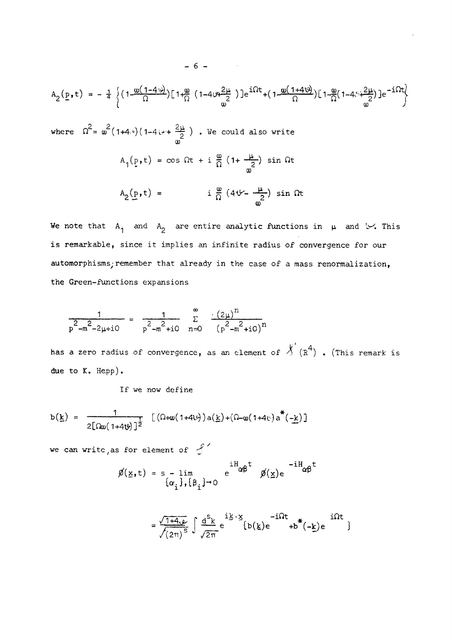$$
A_2(\underline{p},t) = -\frac{1}{4} \left\{ \left( 1 - \frac{\omega(1-4\psi)}{\Omega} \right) \left[ 1 + \frac{\omega}{\Omega} \left( 1 - 4\psi + \frac{2\mu}{2} \right) \right] e^{i\Omega t} + \left( 1 - \frac{\omega(1+4\psi)}{\Omega} \right) \left[ 1 - \frac{\omega}{\Omega} \left( 1 - 4\psi + \frac{2\mu}{2} \right) \right] e^{-i\Omega t} \right\}
$$

where  $\Omega = \omega^-(1+4,*)$ (1-4 $\mapsto$ +  $\frac{2\pi}{2}$ ) . We could also write  $\omega$  $A_q(p,t) = \cos \Omega t + i \frac{\omega}{\Omega} (1 + \frac{1\omega}{\Omega}) \sin \Omega t$  $\omega_{\parallel}$  $A_2(p,t) = i \frac{\omega}{\Omega} (4\sqrt{2} - \frac{\mu}{\omega}) \sin \Omega t$ 

We note that  $A^1$  and  $A^2$  are entire analytic functions in  $\mu$  and  $\vee$ . This is remarkable, since it implies an infinite radius of convergence for our automorphisms; remember that already in the case of a mass renormalization, the Green-functions expansions

$$
\frac{1}{p^{2}-m^{2}-2\mu+i0} = \frac{1}{p^{2}-m^{2}+i0} \sum_{n=0}^{\infty} \frac{(2\mu)^{n}}{(p^{2}-m^{2}+i0)^{n}}
$$

has a zero radius of convergence, as an element of  $\overline{\mathcal{N}}'(R^4)$  . (This remark is due to K. Hepp).

If we now define

$$
b(\underline{k}) = \frac{1}{2[\Omega\omega(1+4\upsilon)]^2} \left[ (\Omega+\omega(1+4\upsilon))a(\underline{k})+(\Omega-\omega(1+4\upsilon))a^*(-\underline{k}) \right]
$$

we can write, as for element of  $\int$ 

$$
\emptyset(\underline{x},t) = s - \lim_{\{\alpha_i\},\{\beta_i\}\to 0} e^{iH_{\alpha\beta}t} \phi(\underline{x}) e^{-iH_{\alpha\beta}t}
$$

$$
= \frac{\sqrt{1+4\omega}}{\sqrt{(2\pi)^{S}}} \int \frac{d^{S}k}{\sqrt{2\pi}} e^{-i\vec{k} \cdot \vec{x}} \{b(\vec{k})e^{-i\Omega t} + b^{*}(-\vec{k})e^{-i\Omega t} \}
$$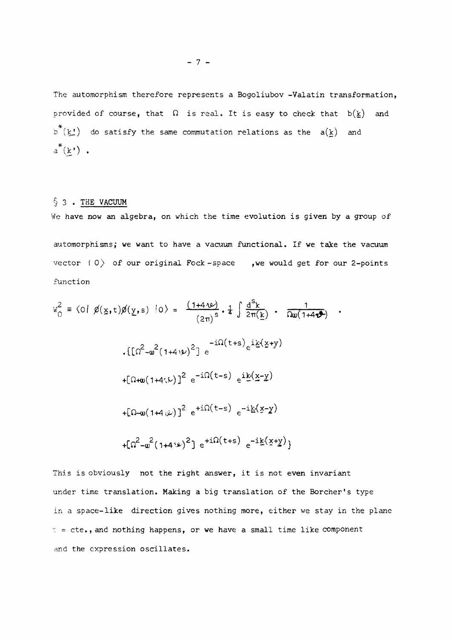The automorphism therefore represents a Bogoliubov -Valatin transformation, provided of course, that  $\Omega$  is real. It is easy to check that  $b(\underline{k})$  and  $b^{\pi}(k!)$  do satisfy the same commutation relations as the  $a(k)$  and  $a^*(\underline{k})$  .

#### $§$  3. THE VACUUM

We have now an algebra, on which the time evolution is given by a group of

automorphisms; we want to have a vacuum functional. If we take the vacuum vector  $\vert 0 \rangle$  of our original Fock-space , we would get for our 2-points function

$$
w_0^2 = \langle 0 | \cancel{p}(x, t) \cancel{p}(y, s) | 0 \rangle = \frac{(1 + 4\sqrt{v})}{(2\pi)^s} \cdot \frac{1}{4} \int \frac{d^5k}{2\pi(k)} \cdot \frac{1}{\sqrt{w(1 + 4\sqrt{v})}}
$$
  
. 
$$
\{ \left[ \Omega^2 - w^2 (1 + 4\sqrt{v})^2 \right] e^{-i\Omega(t+s)} e^{i\frac{k}{2}(x+y)}
$$

$$
+ [\Omega + w(1 + 4\sqrt{v})]^2 e^{-i\Omega(t-s)} e^{i\frac{k}{2}(x-y)}
$$

$$
+ [\Omega - w(1 + 4\sqrt{v})]^2 e^{+i\Omega(t-s)} e^{-i\frac{k}{2}(x-y)}
$$

$$
+ [\Omega^2 - w^2 (1 + 4\sqrt{v})^2] e^{+i\Omega(t+s)} e^{-i\frac{k}{2}(x+y)}
$$

This is obviously not the right answer, it is not even invariant under time translation. Making a big translation of the Borcher's type in a space-like direction gives nothing more, either we stay in the plane  $t = cte.,$  and nothing happens, or we have a small time like component and the expression oscillates.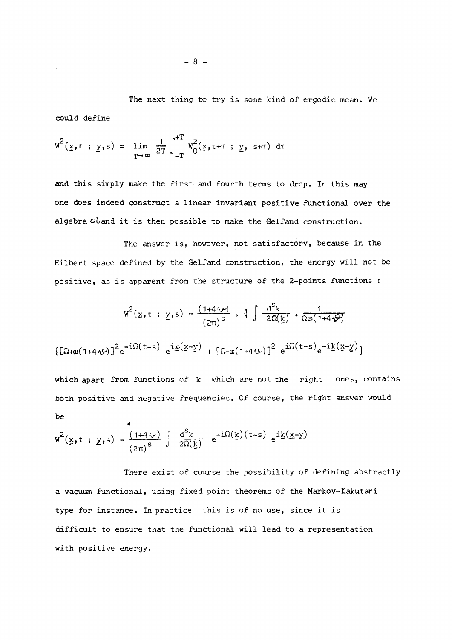The next thing to try is some kind of ergodic mean. We could define

$$
W^{2}(\underline{x}, t ; \underline{y}, s) = \lim_{T \to \infty} \frac{1}{2T} \int_{-T}^{+T} W_{0}^{2}(\underline{x}, t + \tau ; \underline{y}, s + \tau) d\tau
$$

and this simply make the first and fourth terms to drop. In this may one does indeed construct a linear invariant positive functional over the algebra cLand it is then possible to make the Gelfand construction.

The answer is, however, not satisfactory, because in the Hilbert space defined by the Gelfand construction, the energy will not be positive, as is apparent from the structure of the 2-points functions :

$$
w^{2}(x, t ; y, s) = \frac{(1+4\sqrt{v})}{(2\pi)^{s}} \cdot \frac{1}{4} \int \frac{d^{s}k}{2\Omega(k)} \cdot \frac{1}{\Omega w(1+4\sqrt{v})}
$$

$$
[\Omega+w(1+4\sqrt{v})]^{2}e^{-i\Omega(t-s)} e^{i\underline{k}(x-y)} + [\Omega-w(1+4\sqrt{v})]^{2} e^{i\Omega(t-s)}e^{-i\underline{k}(x-y)}]
$$

which apart from functions of  $k$  which are not the right ones, contains both positive and negative frequencies. Of course, the right answer would be  $\ddot{\phantom{0}}$ 

$$
\mathbf{w}^2(\mathbf{x}, t; \mathbf{y}, s) = \frac{(1+4\,\omega)}{(2\pi)^s} \int \frac{d^s \mathbf{k}}{2\Omega(\mathbf{k})} e^{-i\Omega(\mathbf{k}) (t-s)} e^{i\mathbf{k}(\mathbf{x}-\mathbf{y})}
$$

There exist of course the possibility of defining abstractly a vacuum functional, using fixed point theorems of the Markov-Kakutari type for instance. In practice this is of no use, since it is difficult to ensure that the functional will lead to a representation with positive energy.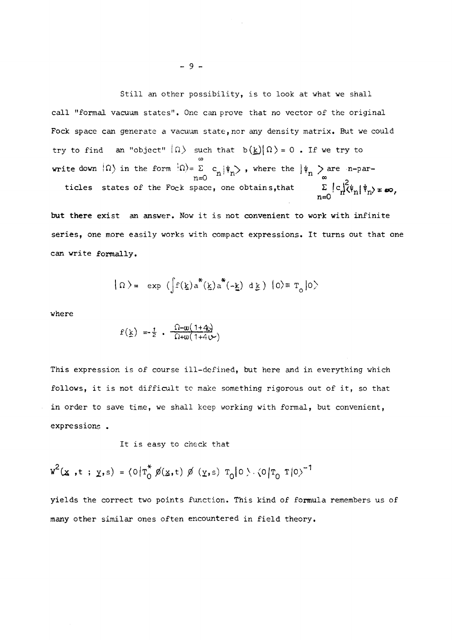Still an other possibility, is to look at what we shall call "formal vacuum states". One can prove that no vector of the original Fock space can generate a vacuum state, nor any density matrix. But we could try to find an "object"  $|\Omega\rangle$  such that  $b(\underline{k})|\Omega\rangle=0$  . If we try to write down  $\langle \Omega \rangle$  in the form  $\langle \Omega \rangle = \sum_{n=0}^{\infty} c_n |\psi_n \rangle$ , where the  $|\psi_n \rangle$  are n-particles states of the Fock space, one obtains, that  $\sum_{n=0}^{\infty} |c_n|^2 \psi_n |\psi_n\rangle \neq \infty$ ,

but there exist an answer. Now it is not convenient to work with infinite series, one more easily works with compact expressions. It turns out that one can write formally.

$$
|\Omega\rangle = \exp\left(\int f(\underline{k}) a^*(\underline{k}) a^*(-\underline{k}) d\underline{k}\right) |0\rangle \equiv T_0 |0\rangle
$$

where

$$
f(\underline{k}) = \frac{1}{2} \cdot \frac{\Omega - \omega(1 + 4\omega)}{\Omega + \omega(1 + 4\omega)}
$$

This expression is of course ill-defined, but here and in everything which follows, it is not difficult to make something rigorous out of it, so that in order to save time, we shall keep working with formal, but convenient, expressions .

It is easy to check that

$$
w^{2}(x,t; y,s) = (0|T_{0}^{*} \not\!{D}(x,t) \not\!{D}(y,s) T_{0}|0 \rangle \cdot (0|T_{0} T|0)^{-1}
$$

yields the correct two points function. This kind of formula remembers us of many other similar ones often encountered in field theory.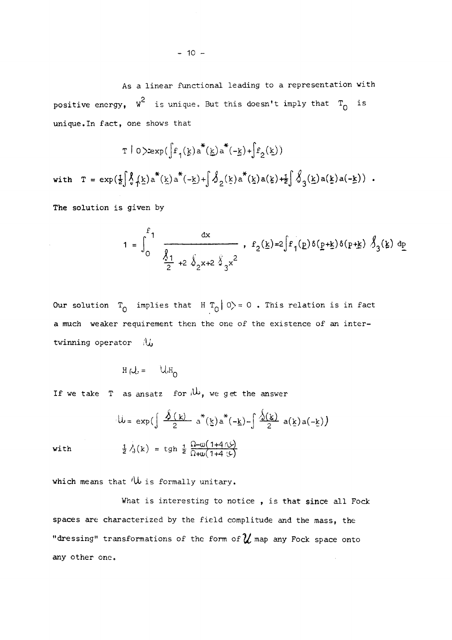$$
T | 0 \rangle \exp(\int f_1(\underline{k}) a^{\ast}(\underline{k}) a^{\ast}(-\underline{k}) + \int f_2(\underline{k})
$$
  
with 
$$
T = \exp(\frac{1}{2} \int_0^{\infty} \int \underline{k}) a^{\ast}(\underline{k}) a^{\ast}(-\underline{k}) + \int_0^{\infty} \int_2 (\underline{k}) a^{\ast}(\underline{k}) a(\underline{k}) + \frac{1}{2} \int_3^{\infty} \int \underline{k}) a(\underline{k}) a(-\underline{k}) + \int_0^{\infty} \int \underline{k} a^{\ast}(\underline{k}) a^{\ast}(\underline{k}) a(\underline{k})
$$

The solution is given by

$$
1 = \int_0^{F_1} \frac{dx}{\frac{\sqrt{1}}{2} + 2\sqrt[3]{2x+2\sqrt[3]{3}x^2}}, \quad f_2(\underline{k}) = 2\int f_1(\underline{p})\delta(\underline{p}+\underline{k})\delta(\underline{p}+\underline{k})\sqrt[3]{3(\underline{k})} \frac{dp}{d}
$$

Our solution  $T_0$  implies that H  $T_0$  | 0) = 0. This relation is in fact a much weaker requirement then the one of the existence of an intertwinning operator  $\mathcal{U}_b$ 

$$
H(U) = UH_0
$$

If we take T as ansatz for  $\mathcal{W}_p$ , we get the answer

$$
\mathcal{L} = \exp\left(\frac{\hat{\mathbf{y}}(k)}{2} a^*(\underline{k}) a^*(-\underline{k}) - \frac{\hat{\mathbf{y}}(\underline{k})}{2} a(\underline{k}) a(-\underline{k})\right)
$$
\n
$$
\frac{1}{2} \hat{\mathbf{y}}(k) = \tanh \frac{1}{2} \frac{\Omega - \omega(1 + 4\pi)}{\Omega + \omega(1 + 4\pi)}.
$$

with

which means that  $\mathcal W$  is formally unitary.

What is interesting to notice, is that since all Fock spaces are characterized by the field complitude and the mass, the "dressing" transformations of the form of  $\mathcal U$  map any Fock space onto any other one.